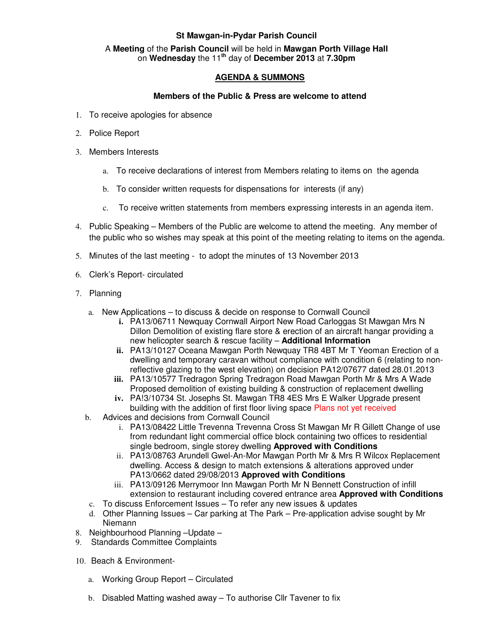# **St Mawgan-in-Pydar Parish Council**

#### A **Meeting** of the **Parish Council** will be held in **Mawgan Porth Village Hall** on **Wednesday** the 11**th** day of **December 2013** at **7.30pm**

## **AGENDA & SUMMONS**

### **Members of the Public & Press are welcome to attend**

- 1. To receive apologies for absence
- 2. Police Report
- 3. Members Interests
	- a. To receive declarations of interest from Members relating to items on the agenda
	- b. To consider written requests for dispensations for interests (if any)
	- c. To receive written statements from members expressing interests in an agenda item.
- 4. Public Speaking Members of the Public are welcome to attend the meeting. Any member of the public who so wishes may speak at this point of the meeting relating to items on the agenda.
- 5. Minutes of the last meeting to adopt the minutes of 13 November 2013
- 6. Clerk's Report- circulated
- 7. Planning
	- a. New Applications to discuss & decide on response to Cornwall Council
		- **i.** PA13/06711 Newquay Cornwall Airport New Road Carloggas St Mawgan Mrs N Dillon Demolition of existing flare store & erection of an aircraft hangar providing a new helicopter search & rescue facility – **Additional Information**
		- **ii.** PA13/10127 Oceana Mawgan Porth Newquay TR8 4BT Mr T Yeoman Erection of a dwelling and temporary caravan without compliance with condition 6 (relating to nonreflective glazing to the west elevation) on decision PA12/07677 dated 28.01.2013
		- **iii.** PA13/10577 Tredragon Spring Tredragon Road Mawgan Porth Mr & Mrs A Wade Proposed demolition of existing building & construction of replacement dwelling
		- **iv.** PA!3/10734 St. Josephs St. Mawgan TR8 4ES Mrs E Walker Upgrade present building with the addition of first floor living space Plans not yet received
	- b. Advices and decisions from Cornwall Council
		- i. PA13/08422 Little Trevenna Trevenna Cross St Mawgan Mr R Gillett Change of use from redundant light commercial office block containing two offices to residential single bedroom, single storey dwelling **Approved with Conditions**
		- ii. PA13/08763 Arundell Gwel-An-Mor Mawgan Porth Mr & Mrs R Wilcox Replacement dwelling. Access & design to match extensions & alterations approved under PA13/0662 dated 29/08/2013 **Approved with Conditions**
		- iii. PA13/09126 Merrymoor Inn Mawgan Porth Mr N Bennett Construction of infill extension to restaurant including covered entrance area **Approved with Conditions**
	- c. To discuss Enforcement Issues To refer any new issues & updates
	- d. Other Planning Issues Car parking at The Park Pre-application advise sought by Mr Niemann
- 8. Neighbourhood Planning –Update –
- 9. Standards Committee Complaints
- 10. Beach & Environment
	- a. Working Group Report Circulated
	- b. Disabled Matting washed away To authorise Cllr Tavener to fix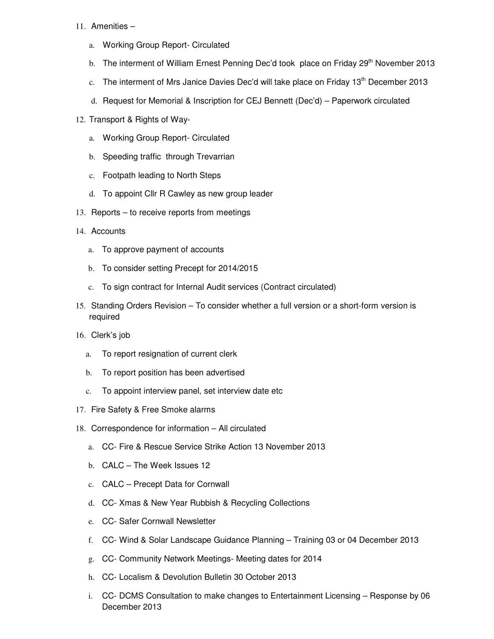#### 11. Amenities –

- a. Working Group Report- Circulated
- b. The interment of William Ernest Penning Dec'd took place on Friday 29<sup>th</sup> November 2013
- c. The interment of Mrs Janice Davies Dec'd will take place on Friday  $13<sup>th</sup>$  December 2013
- d. Request for Memorial & Inscription for CEJ Bennett (Dec'd) Paperwork circulated
- 12. Transport & Rights of Way
	- a. Working Group Report- Circulated
	- b. Speeding traffic through Trevarrian
	- c. Footpath leading to North Steps
	- d. To appoint Cllr R Cawley as new group leader
- 13. Reports to receive reports from meetings
- 14. Accounts
	- a. To approve payment of accounts
	- b. To consider setting Precept for 2014/2015
	- c. To sign contract for Internal Audit services (Contract circulated)
- 15. Standing Orders Revision To consider whether a full version or a short-form version is required
- 16. Clerk's job
	- a. To report resignation of current clerk
	- b. To report position has been advertised
	- c. To appoint interview panel, set interview date etc
- 17. Fire Safety & Free Smoke alarms
- 18. Correspondence for information All circulated
	- a. CC- Fire & Rescue Service Strike Action 13 November 2013
	- b. CALC The Week Issues 12
	- c. CALC Precept Data for Cornwall
	- d. CC- Xmas & New Year Rubbish & Recycling Collections
	- e. CC- Safer Cornwall Newsletter
	- f. CC- Wind & Solar Landscape Guidance Planning Training 03 or 04 December 2013
	- g. CC- Community Network Meetings- Meeting dates for 2014
	- h. CC- Localism & Devolution Bulletin 30 October 2013
	- i. CC- DCMS Consultation to make changes to Entertainment Licensing Response by 06 December 2013